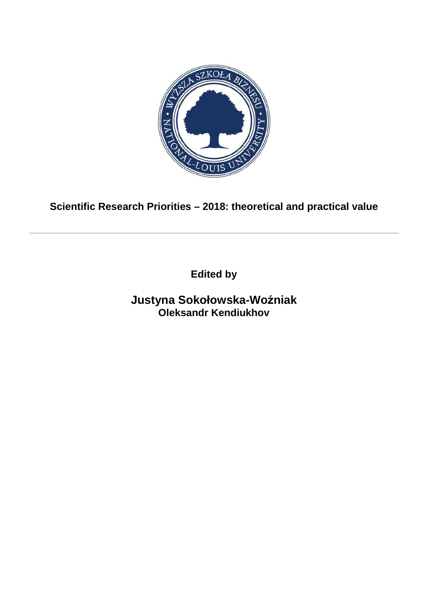

**Scientific Research Priorities – 2018: theoretical and practical value**

**Edited by**

**Justyna Sokołowska-Woźniak Oleksandr Kendiukhov**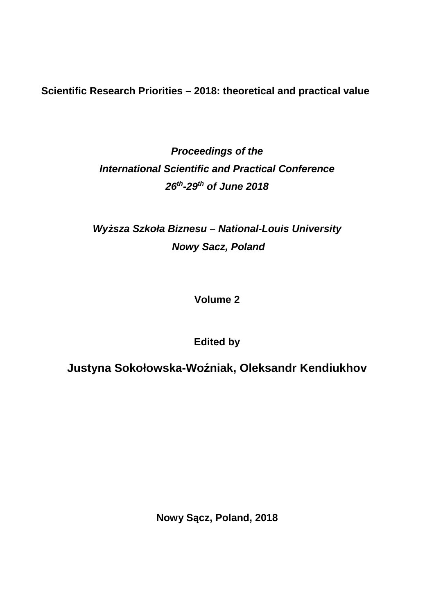**Scientific Research Priorities – 2018: theoretical and practical value** 

**Proceedings of the International Scientific and Practical Conference 26th-29th of June 2018** 

**Wy***ż***sza Szkoła Biznesu – National-Louis University Nowy Sacz, Poland** 

**Volume 2** 

**Edited by** 

**Justyna Sokołowska-Woźniak, Oleksandr Kendiukhov** 

**Nowy Sącz, Poland, 2018**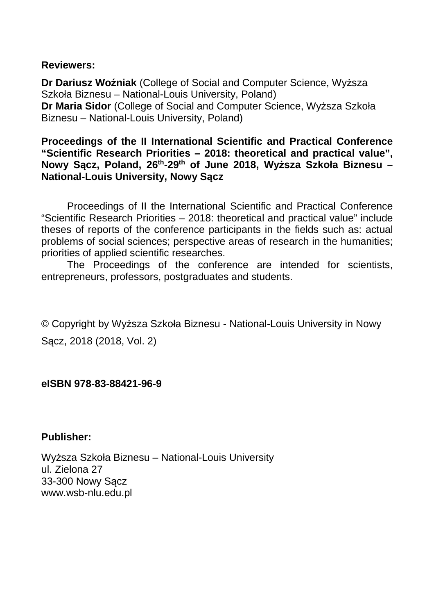## **Reviewers:**

**Dr Dariusz Woźniak** (College of Social and Computer Science, Wyższa Szkoła Biznesu – National-Louis University, Poland) **Dr Maria Sidor** (College of Social and Computer Science, Wyższa Szkoła Biznesu – National-Louis University, Poland)

**Proceedings of the II International Scientific and Practical Conference "Scientific Research Priorities – 2018: theoretical and practical value", Nowy Sącz, Poland, 26th-29th of June 2018, Wyższa Szkoła Biznesu – National-Louis University, Nowy Sącz** 

Proceedings of II the International Scientific and Practical Conference "Scientific Research Priorities – 2018: theoretical and practical value" include theses of reports of the conference participants in the fields such as: actual problems of social sciences; perspective areas of research in the humanities; priorities of applied scientific researches.

The Proceedings of the conference are intended for scientists, entrepreneurs, professors, postgraduates and students.

© Copyright by Wyższa Szkoła Biznesu - National-Louis University in Nowy Sącz, 2018 (2018, Vol. 2)

## **eISBN 978-83-88421-96-9**

**Publisher:** 

Wyższa Szkoła Biznesu – National-Louis University ul. Zielona 27 33-300 Nowy Sącz www.wsb-nlu.edu.pl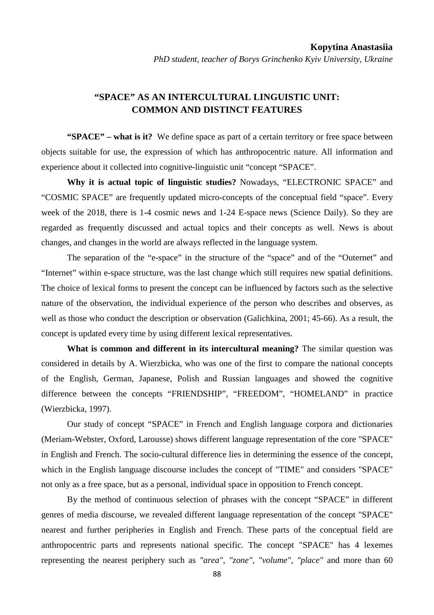## **"SPACE" AS AN INTERCULTURAL LINGUISTIC UNIT: COMMON AND DISTINCT FEATURES**

**"SPACE" – what is it?** We define space as part of a certain territory or free space between objects suitable for use, the expression of which has anthropocentric nature. All information and experience about it collected into cognitive-linguistic unit "concept "SPACE".

**Why it is actual topic of linguistic studies?** Nowadays, "ELECTRONIC SPACE" and "COSMIC SPACE" are frequently updated micro-concepts of the conceptual field "space". Every week of the 2018, there is 1-4 cosmic news and 1-24 E-space news (Science Daily). So they are regarded as frequently discussed and actual topics and their concepts as well. News is about changes, and changes in the world are always reflected in the language system.

The separation of the "e-space" in the structure of the "space" and of the "Outernet" and "Internet" within e-space structure, was the last change which still requires new spatial definitions. The choice of lexical forms to present the concept can be influenced by factors such as the selective nature of the observation, the individual experience of the person who describes and observes, as well as those who conduct the description or observation (Galichkina, 2001; 45-66). As a result, the concept is updated every time by using different lexical representatives.

**What is common and different in its intercultural meaning?** The similar question was considered in details by A. Wierzbicka, who was one of the first to compare the national concepts of the English, German, Japanese, Polish and Russian languages and showed the cognitive difference between the concepts "FRIENDSHIP", "FREEDOM", "HOMELAND" in practice (Wierzbicka, 1997).

Our study of concept "SPACE" in French and English language corpora and dictionaries (Meriam-Webster, Oxford, Larousse) shows different language representation of the core "SPACE" in English and French. The socio-cultural difference lies in determining the essence of the concept, which in the English language discourse includes the concept of "TIME" and considers "SPACE" not only as a free space, but as a personal, individual space in opposition to French concept.

By the method of continuous selection of phrases with the concept "SPACE" in different genres of media discourse, we revealed different language representation of the concept "SPACE" nearest and further peripheries in English and French. These parts of the conceptual field are anthropocentric parts and represents national specific. The concept "SPACE" has 4 lexemes representing the nearest periphery such as *"area", "zone", "volume", "place"* and more than 60